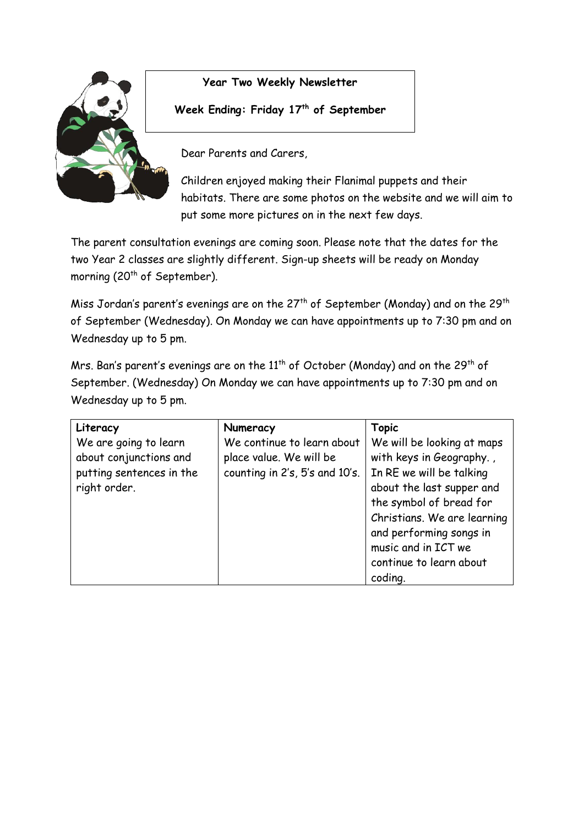

## **Year Two Weekly Newsletter**

**Week Ending: Friday 17th of September** 

Dear Parents and Carers,

Children enjoyed making their Flanimal puppets and their habitats. There are some photos on the website and we will aim to put some more pictures on in the next few days.

The parent consultation evenings are coming soon. Please note that the dates for the two Year 2 classes are slightly different. Sign-up sheets will be ready on Monday morning (20<sup>th</sup> of September).

Miss Jordan's parent's evenings are on the  $27<sup>th</sup>$  of September (Monday) and on the  $29<sup>th</sup>$ of September (Wednesday). On Monday we can have appointments up to 7:30 pm and on Wednesday up to 5 pm.

Mrs. Ban's parent's evenings are on the  $11<sup>th</sup>$  of October (Monday) and on the 29<sup>th</sup> of September. (Wednesday) On Monday we can have appointments up to 7:30 pm and on Wednesday up to 5 pm.

| Literacy                                                                    | Numeracy                                                                                | <b>Topic</b>                                                                                                                          |
|-----------------------------------------------------------------------------|-----------------------------------------------------------------------------------------|---------------------------------------------------------------------------------------------------------------------------------------|
| We are going to learn<br>about conjunctions and<br>putting sentences in the | We continue to learn about<br>place value. We will be<br>counting in 2's, 5's and 10's. | We will be looking at maps<br>with keys in Geography.,<br>In RE we will be talking                                                    |
| right order.                                                                |                                                                                         | about the last supper and<br>the symbol of bread for<br>Christians. We are learning<br>and performing songs in<br>music and in ICT we |
|                                                                             |                                                                                         | continue to learn about<br>coding.                                                                                                    |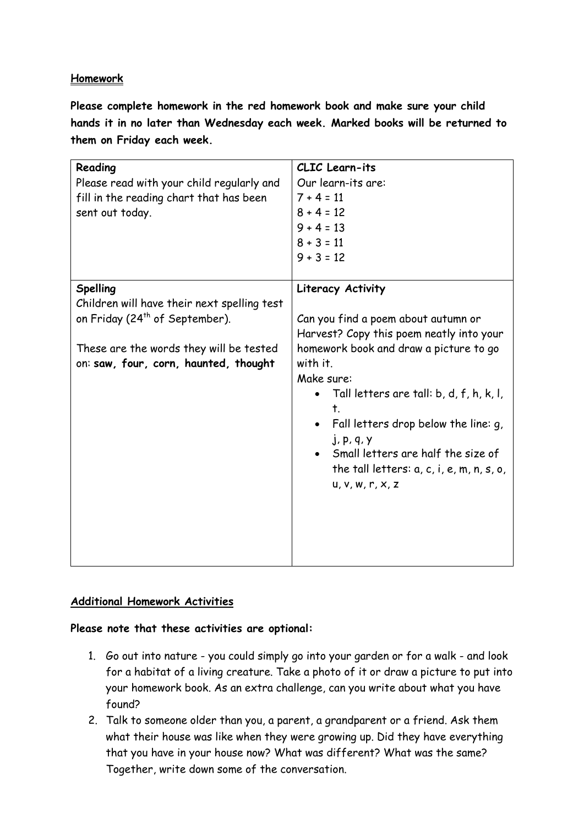## **Homework**

**Please complete homework in the red homework book and make sure your child hands it in no later than Wednesday each week. Marked books will be returned to them on Friday each week.** 

| Reading<br>Please read with your child regularly and<br>fill in the reading chart that has been<br>sent out today.                                                                               | CLIC Learn-its<br>Our learn-its are:<br>$7 + 4 = 11$<br>$8 + 4 = 12$<br>$9 + 4 = 13$<br>$8 + 3 = 11$<br>$9 + 3 = 12$                                                                                                                                                                                                                                                                                                   |
|--------------------------------------------------------------------------------------------------------------------------------------------------------------------------------------------------|------------------------------------------------------------------------------------------------------------------------------------------------------------------------------------------------------------------------------------------------------------------------------------------------------------------------------------------------------------------------------------------------------------------------|
| <b>Spelling</b><br>Children will have their next spelling test<br>on Friday (24 <sup>th</sup> of September).<br>These are the words they will be tested<br>on: saw, four, corn, haunted, thought | Literacy Activity<br>Can you find a poem about autumn or<br>Harvest? Copy this poem neatly into your<br>homework book and draw a picture to go<br>with it.<br>Make sure:<br>Tall letters are tall: b, d, f, h, k, l,<br>$\bullet$<br>$\mathbf t$ .<br>Fall letters drop below the line: g,<br>$j$ , p, q, $y$<br>Small letters are half the size of<br>the tall letters: $a, c, i, e, m, n, s, o,$<br>u, v, w, r, x, z |

## **Additional Homework Activities**

## **Please note that these activities are optional:**

- 1. Go out into nature you could simply go into your garden or for a walk and look for a habitat of a living creature. Take a photo of it or draw a picture to put into your homework book. As an extra challenge, can you write about what you have found?
- 2. Talk to someone older than you, a parent, a grandparent or a friend. Ask them what their house was like when they were growing up. Did they have everything that you have in your house now? What was different? What was the same? Together, write down some of the conversation.